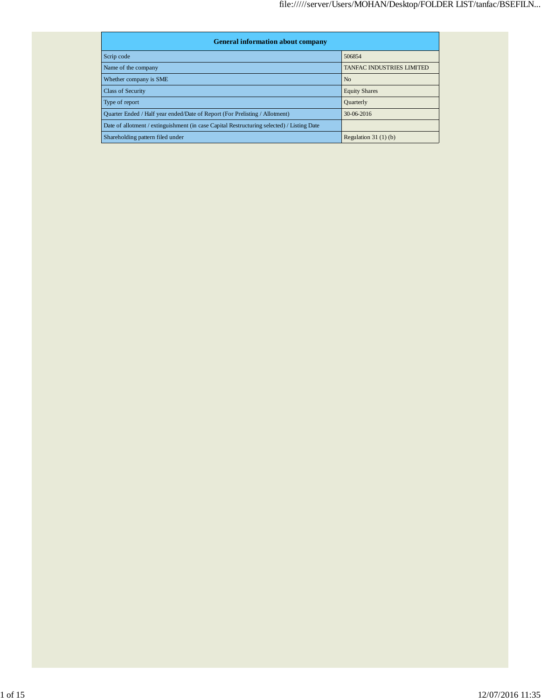| <b>General information about company</b>                                                   |                                  |  |  |  |  |  |  |
|--------------------------------------------------------------------------------------------|----------------------------------|--|--|--|--|--|--|
| Scrip code                                                                                 | 506854                           |  |  |  |  |  |  |
| Name of the company                                                                        | <b>TANFAC INDUSTRIES LIMITED</b> |  |  |  |  |  |  |
| Whether company is SME                                                                     | N <sub>o</sub>                   |  |  |  |  |  |  |
| <b>Class of Security</b>                                                                   | <b>Equity Shares</b>             |  |  |  |  |  |  |
| Type of report                                                                             | Quarterly                        |  |  |  |  |  |  |
| Quarter Ended / Half year ended/Date of Report (For Prelisting / Allotment)                | $30-06-2016$                     |  |  |  |  |  |  |
| Date of allotment / extinguishment (in case Capital Restructuring selected) / Listing Date |                                  |  |  |  |  |  |  |
| Shareholding pattern filed under                                                           | Regulation $31(1)(b)$            |  |  |  |  |  |  |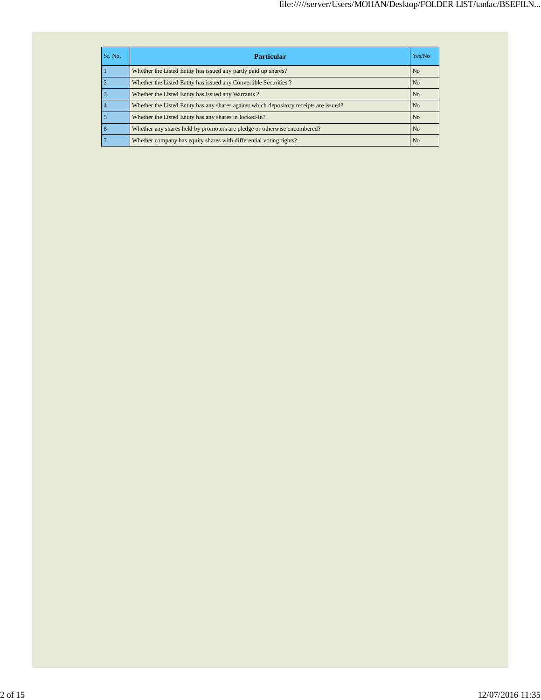| Sr. No. | Particular                                                                             | Yes/No         |
|---------|----------------------------------------------------------------------------------------|----------------|
|         | Whether the Listed Entity has issued any partly paid up shares?                        | N <sub>o</sub> |
|         | Whether the Listed Entity has issued any Convertible Securities?                       | N <sub>0</sub> |
|         | Whether the Listed Entity has issued any Warrants?                                     | N <sub>o</sub> |
|         | Whether the Listed Entity has any shares against which depository receipts are issued? | N <sub>0</sub> |
|         | Whether the Listed Entity has any shares in locked-in?                                 | N <sub>o</sub> |
| 6       | Whether any shares held by promoters are pledge or otherwise encumbered?               | N <sub>o</sub> |
|         | Whether company has equity shares with differential voting rights?                     | N <sub>0</sub> |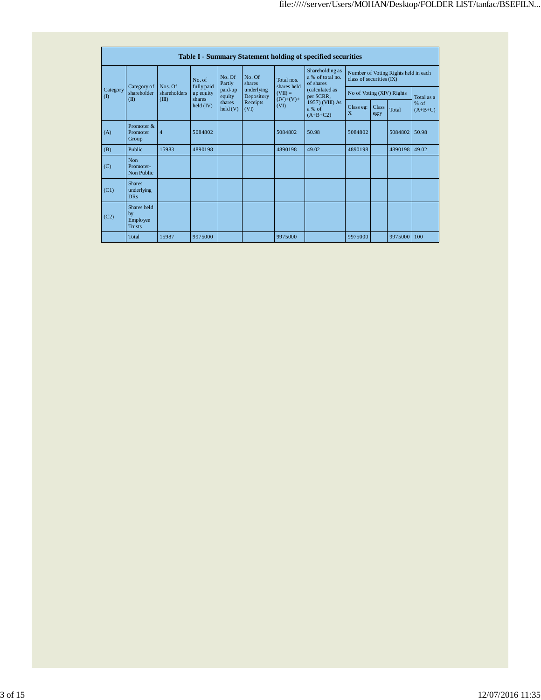|               | Table I - Summary Statement holding of specified securities |                         |                      |                            |                          |                                  |                                                  |                                                                  |               |         |                     |  |  |  |
|---------------|-------------------------------------------------------------|-------------------------|----------------------|----------------------------|--------------------------|----------------------------------|--------------------------------------------------|------------------------------------------------------------------|---------------|---------|---------------------|--|--|--|
| Category<br>( |                                                             |                         | No. of<br>fully paid | No. Of<br>Partly           | No. Of<br>shares         | Total nos.<br>shares held        | Shareholding as<br>a % of total no.<br>of shares | Number of Voting Rights held in each<br>class of securities (IX) |               |         |                     |  |  |  |
|               | Category of<br>shareholder                                  | Nos. Of<br>shareholders | up equity<br>shares  | paid-up<br>equity          | underlying<br>Depository | $(VII) =$<br>$(IV)+(V)+$<br>(VI) | (calculated as<br>per SCRR,                      | No of Voting (XIV) Rights                                        |               |         | Total as a          |  |  |  |
|               | (II)                                                        | (III)                   | held (IV)            | shares<br>$\text{held}(V)$ | Receipts<br>(VI)         |                                  | 1957) (VIII) As<br>a% of<br>$(A+B+C2)$           | Class eg:<br>X                                                   | Class<br>eg:y | Total   | $%$ of<br>$(A+B+C)$ |  |  |  |
| (A)           | Promoter &<br>Promoter<br>Group                             | $\overline{4}$          | 5084802              |                            |                          | 5084802                          | 50.98                                            | 5084802                                                          |               | 5084802 | 50.98               |  |  |  |
| (B)           | Public                                                      | 15983                   | 4890198              |                            |                          | 4890198                          | 49.02                                            | 4890198                                                          |               | 4890198 | 49.02               |  |  |  |
| (C)           | N <sub>on</sub><br>Promoter-<br>Non Public                  |                         |                      |                            |                          |                                  |                                                  |                                                                  |               |         |                     |  |  |  |
| (C1)          | <b>Shares</b><br>underlying<br><b>DRs</b>                   |                         |                      |                            |                          |                                  |                                                  |                                                                  |               |         |                     |  |  |  |
| (C2)          | Shares held<br>by<br>Employee<br><b>Trusts</b>              |                         |                      |                            |                          |                                  |                                                  |                                                                  |               |         |                     |  |  |  |
|               | Total                                                       | 15987                   | 9975000              |                            |                          | 9975000                          |                                                  | 9975000                                                          |               | 9975000 | 100                 |  |  |  |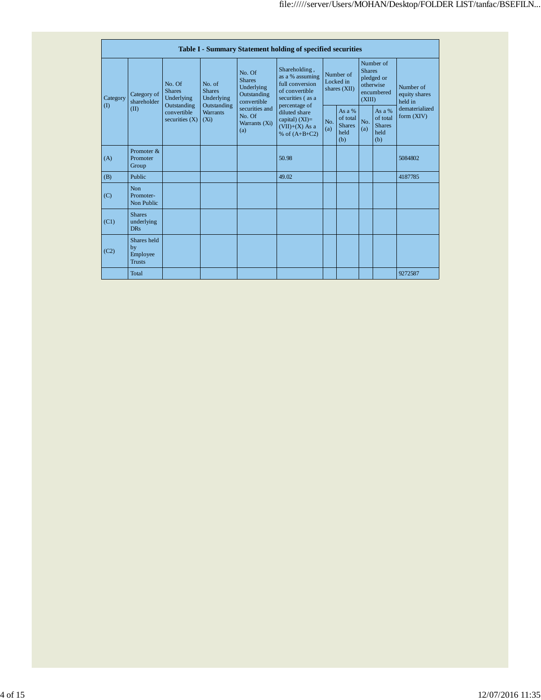|                          | Table I - Summary Statement holding of specified securities |                                 |                                      |                                                      |                                                                                           |                                                                                           |                                                      |            |                                                                               |                              |                                       |  |
|--------------------------|-------------------------------------------------------------|---------------------------------|--------------------------------------|------------------------------------------------------|-------------------------------------------------------------------------------------------|-------------------------------------------------------------------------------------------|------------------------------------------------------|------------|-------------------------------------------------------------------------------|------------------------------|---------------------------------------|--|
| Category<br>$($ $\Gamma$ | Category of<br>shareholder<br>(II)                          | No. Of<br><b>Shares</b>         | Underlying<br>Outstanding            | No. of<br><b>Shares</b><br>Underlying<br>Outstanding | No. Of<br><b>Shares</b><br>Underlying<br>Outstanding<br>convertible                       | Shareholding,<br>as a % assuming<br>full conversion<br>of convertible<br>securities (as a | Number of<br>Locked in<br>shares (XII)               |            | Number of<br><b>Shares</b><br>pledged or<br>otherwise<br>encumbered<br>(XIII) |                              | Number of<br>equity shares<br>held in |  |
|                          |                                                             | convertible<br>securities $(X)$ | <b>Warrants</b><br>(X <sub>i</sub> ) | securities and<br>No. Of<br>Warrants (Xi)<br>(a)     | percentage of<br>diluted share<br>capital) $(XI)=$<br>$(VII)+(X)$ As a<br>% of $(A+B+C2)$ | No.<br>(a)                                                                                | As $a\%$<br>of total<br><b>Shares</b><br>held<br>(b) | No.<br>(a) | As a %<br>of total<br><b>Shares</b><br>held<br>(b)                            | dematerialized<br>form (XIV) |                                       |  |
| (A)                      | Promoter $&$<br>Promoter<br>Group                           |                                 |                                      |                                                      | 50.98                                                                                     |                                                                                           |                                                      |            |                                                                               | 5084802                      |                                       |  |
| (B)                      | Public                                                      |                                 |                                      |                                                      | 49.02                                                                                     |                                                                                           |                                                      |            |                                                                               | 4187785                      |                                       |  |
| (C)                      | <b>Non</b><br>Promoter-<br>Non Public                       |                                 |                                      |                                                      |                                                                                           |                                                                                           |                                                      |            |                                                                               |                              |                                       |  |
| (C1)                     | <b>Shares</b><br>underlying<br><b>DRs</b>                   |                                 |                                      |                                                      |                                                                                           |                                                                                           |                                                      |            |                                                                               |                              |                                       |  |
| (C2)                     | Shares held<br>by<br>Employee<br><b>Trusts</b>              |                                 |                                      |                                                      |                                                                                           |                                                                                           |                                                      |            |                                                                               |                              |                                       |  |
|                          | Total                                                       |                                 |                                      |                                                      |                                                                                           |                                                                                           |                                                      |            |                                                                               | 9272587                      |                                       |  |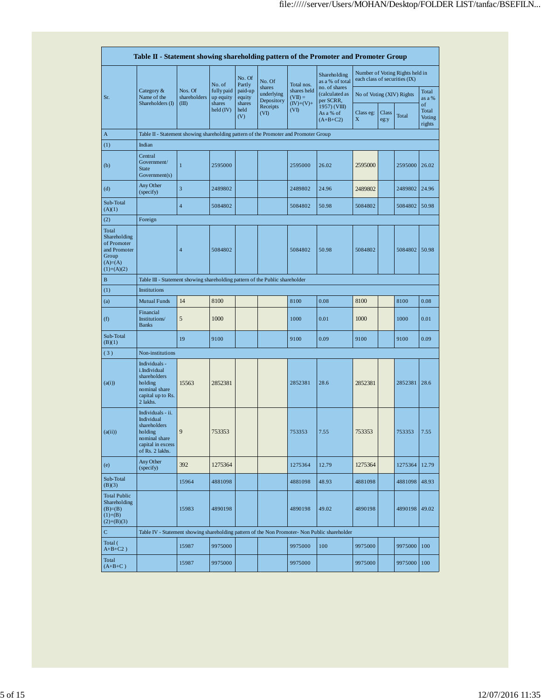|                                                                                             | Table II - Statement showing shareholding pattern of the Promoter and Promoter Group                                |                                                                              |                         |                       |                                    |                          |                                              |                           |               |                                                                  |                                 |  |
|---------------------------------------------------------------------------------------------|---------------------------------------------------------------------------------------------------------------------|------------------------------------------------------------------------------|-------------------------|-----------------------|------------------------------------|--------------------------|----------------------------------------------|---------------------------|---------------|------------------------------------------------------------------|---------------------------------|--|
|                                                                                             |                                                                                                                     |                                                                              | No. of                  | No. Of<br>Partly      | No. Of                             | Total nos.               | Shareholding<br>as a % of total              |                           |               | Number of Voting Rights held in<br>each class of securities (IX) |                                 |  |
| Sr.                                                                                         | Category &<br>Name of the                                                                                           | Nos. Of<br>shareholders                                                      | fully paid<br>up equity | paid-up<br>equity     | shares<br>underlying<br>Depository | shares held<br>$(VII) =$ | no. of shares<br>(calculated as<br>per SCRR, | No of Voting (XIV) Rights |               |                                                                  | Total<br>as a %                 |  |
|                                                                                             | Shareholders (I)                                                                                                    | (III)                                                                        | shares<br>held (IV)     | shares<br>held<br>(V) | Receipts<br>(VI)                   | $(IV)+(V)+$<br>(VI)      | 1957) (VIII)<br>As a % of<br>$(A+B+C2)$      | Class eg:<br>X            | Class<br>eg:y | Total                                                            | of<br>Total<br>Voting<br>rights |  |
| A                                                                                           | Table II - Statement showing shareholding pattern of the Promoter and Promoter Group                                |                                                                              |                         |                       |                                    |                          |                                              |                           |               |                                                                  |                                 |  |
| (1)                                                                                         | Indian                                                                                                              |                                                                              |                         |                       |                                    |                          |                                              |                           |               |                                                                  |                                 |  |
| (b)                                                                                         | Central<br>Government/<br><b>State</b><br>Government(s)                                                             | $\mathbf{1}$                                                                 | 2595000                 |                       |                                    | 2595000                  | 26.02                                        | 2595000                   |               | 2595000                                                          | 26.02                           |  |
| (d)                                                                                         | Any Other<br>(specify)                                                                                              | 3                                                                            | 2489802                 |                       |                                    | 2489802                  | 24.96                                        | 2489802                   |               | 2489802                                                          | 24.96                           |  |
| Sub-Total<br>(A)(1)                                                                         |                                                                                                                     | $\overline{4}$                                                               | 5084802                 |                       |                                    | 5084802                  | 50.98                                        | 5084802                   |               | 5084802                                                          | 50.98                           |  |
| (2)                                                                                         | Foreign                                                                                                             |                                                                              |                         |                       |                                    |                          |                                              |                           |               |                                                                  |                                 |  |
| Total<br>Shareholding<br>of Promoter<br>and Promoter<br>Group<br>$(A)= (A)$<br>$(1)+(A)(2)$ |                                                                                                                     | $\overline{4}$                                                               | 5084802                 |                       |                                    | 5084802                  | 50.98                                        | 5084802                   |               | 5084802 50.98                                                    |                                 |  |
| $\bf{B}$                                                                                    |                                                                                                                     | Table III - Statement showing shareholding pattern of the Public shareholder |                         |                       |                                    |                          |                                              |                           |               |                                                                  |                                 |  |
| (1)                                                                                         | <b>Institutions</b>                                                                                                 |                                                                              |                         |                       |                                    |                          |                                              |                           |               |                                                                  |                                 |  |
| (a)                                                                                         | <b>Mutual Funds</b>                                                                                                 | 14                                                                           | 8100                    |                       |                                    | 8100                     | 0.08                                         | 8100                      |               | 8100                                                             | 0.08                            |  |
| (f)                                                                                         | Financial<br>Institutions/<br><b>Banks</b>                                                                          | 5                                                                            | 1000                    |                       |                                    | 1000                     | 0.01                                         | 1000                      |               | 1000                                                             | 0.01                            |  |
| Sub-Total<br>(B)(1)                                                                         |                                                                                                                     | 19                                                                           | 9100                    |                       |                                    | 9100                     | 0.09                                         | 9100                      |               | 9100                                                             | 0.09                            |  |
| (3)                                                                                         | Non-institutions                                                                                                    |                                                                              |                         |                       |                                    |                          |                                              |                           |               |                                                                  |                                 |  |
| (a(i))                                                                                      | Individuals -<br>i.Individual<br>shareholders<br>holding<br>nominal share<br>capital up to Rs.<br>2 lakhs.          | 15563                                                                        | 2852381                 |                       |                                    | 2852381                  | 28.6                                         | 2852381                   |               | 2852381                                                          | 28.6                            |  |
| (a(ii))                                                                                     | Individuals - ii.<br>Individual<br>shareholders<br>holding<br>nominal share<br>capital in excess<br>of Rs. 2 lakhs. | 9                                                                            | 753353                  |                       |                                    | 753353                   | 7.55                                         | 753353                    |               | 753353                                                           | 7.55                            |  |
| (e)                                                                                         | Any Other<br>(specify)                                                                                              | 392                                                                          | 1275364                 |                       |                                    | 1275364                  | 12.79                                        | 1275364                   |               | 1275364                                                          | 12.79                           |  |
| Sub-Total<br>(B)(3)                                                                         |                                                                                                                     | 15964                                                                        | 4881098                 |                       |                                    | 4881098                  | 48.93                                        | 4881098                   |               | 4881098                                                          | 48.93                           |  |
| <b>Total Public</b><br>Shareholding<br>$(B)= (B)$<br>$(1)+(B)$<br>$(2)+(B)(3)$              |                                                                                                                     | 15983                                                                        | 4890198                 |                       |                                    | 4890198                  | 49.02                                        | 4890198                   |               | 4890198 49.02                                                    |                                 |  |
| $\mathbf C$                                                                                 | Table IV - Statement showing shareholding pattern of the Non Promoter- Non Public shareholder                       |                                                                              |                         |                       |                                    |                          |                                              |                           |               |                                                                  |                                 |  |
| Total (<br>$A+B+C2$ )                                                                       |                                                                                                                     | 15987                                                                        | 9975000                 |                       |                                    | 9975000                  | 100                                          | 9975000                   |               | 9975000                                                          | 100                             |  |
| Total<br>$(A+B+C)$                                                                          |                                                                                                                     | 15987                                                                        | 9975000                 |                       |                                    | 9975000                  |                                              | 9975000                   |               | 9975000                                                          | 100                             |  |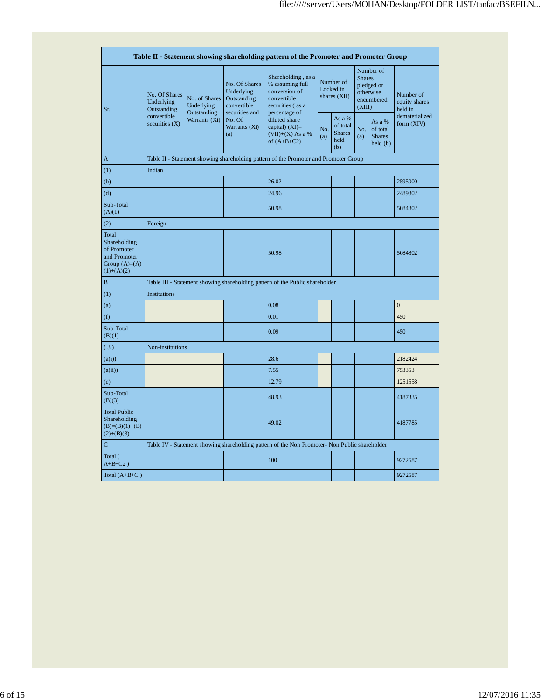|                                                                                         |                                            |                              |                                                                             | Table II - Statement showing shareholding pattern of the Promoter and Promoter Group          |                                        |                                                    |                                                                               |                                                                    |                                       |  |  |  |
|-----------------------------------------------------------------------------------------|--------------------------------------------|------------------------------|-----------------------------------------------------------------------------|-----------------------------------------------------------------------------------------------|----------------------------------------|----------------------------------------------------|-------------------------------------------------------------------------------|--------------------------------------------------------------------|---------------------------------------|--|--|--|
| Sr.                                                                                     | No. Of Shares<br>Underlying<br>Outstanding | No. of Shares<br>Underlying  | No. Of Shares<br>Underlying<br>Outstanding<br>convertible<br>securities and | Shareholding, as a<br>% assuming full<br>conversion of<br>convertible<br>securities (as a     | Number of<br>Locked in<br>shares (XII) |                                                    | Number of<br><b>Shares</b><br>pledged or<br>otherwise<br>encumbered<br>(XIII) |                                                                    | Number of<br>equity shares<br>held in |  |  |  |
|                                                                                         | convertible<br>securities $(X)$            | Outstanding<br>Warrants (Xi) | No. Of<br>Warrants (Xi)<br>(a)                                              | percentage of<br>diluted share<br>capital) $(XI)=$<br>$(VII)+(X)$ As a %<br>of $(A+B+C2)$     | No.<br>(a)                             | As a %<br>of total<br><b>Shares</b><br>held<br>(b) | No.<br>(a)                                                                    | As a %<br>of total<br><b>Shares</b><br>$\text{held }$ $\text{(b)}$ | dematerialized<br>form (XIV)          |  |  |  |
| A                                                                                       |                                            |                              |                                                                             | Table II - Statement showing shareholding pattern of the Promoter and Promoter Group          |                                        |                                                    |                                                                               |                                                                    |                                       |  |  |  |
| (1)                                                                                     | Indian                                     |                              |                                                                             |                                                                                               |                                        |                                                    |                                                                               |                                                                    |                                       |  |  |  |
| (b)                                                                                     |                                            |                              |                                                                             | 26.02                                                                                         |                                        |                                                    |                                                                               |                                                                    | 2595000                               |  |  |  |
| (d)                                                                                     |                                            |                              |                                                                             | 24.96                                                                                         |                                        |                                                    |                                                                               |                                                                    | 2489802                               |  |  |  |
| Sub-Total<br>(A)(1)                                                                     |                                            |                              |                                                                             | 50.98                                                                                         |                                        |                                                    |                                                                               |                                                                    | 5084802                               |  |  |  |
| (2)                                                                                     | Foreign                                    |                              |                                                                             |                                                                                               |                                        |                                                    |                                                                               |                                                                    |                                       |  |  |  |
| Total<br>Shareholding<br>of Promoter<br>and Promoter<br>Group $(A)=(A)$<br>$(1)+(A)(2)$ |                                            |                              |                                                                             | 50.98                                                                                         |                                        |                                                    |                                                                               |                                                                    | 5084802                               |  |  |  |
| $\mathbf B$                                                                             |                                            |                              |                                                                             | Table III - Statement showing shareholding pattern of the Public shareholder                  |                                        |                                                    |                                                                               |                                                                    |                                       |  |  |  |
| (1)                                                                                     | <b>Institutions</b>                        |                              |                                                                             |                                                                                               |                                        |                                                    |                                                                               |                                                                    |                                       |  |  |  |
| (a)                                                                                     |                                            |                              |                                                                             | 0.08                                                                                          |                                        |                                                    |                                                                               |                                                                    | $\overline{0}$                        |  |  |  |
| (f)                                                                                     |                                            |                              |                                                                             | 0.01                                                                                          |                                        |                                                    |                                                                               |                                                                    | 450                                   |  |  |  |
| Sub-Total<br>(B)(1)                                                                     |                                            |                              |                                                                             | 0.09                                                                                          |                                        |                                                    |                                                                               |                                                                    | 450                                   |  |  |  |
| (3)                                                                                     | Non-institutions                           |                              |                                                                             |                                                                                               |                                        |                                                    |                                                                               |                                                                    |                                       |  |  |  |
| (a(i))                                                                                  |                                            |                              |                                                                             | 28.6                                                                                          |                                        |                                                    |                                                                               |                                                                    | 2182424                               |  |  |  |
| (a(ii))                                                                                 |                                            |                              |                                                                             | 7.55                                                                                          |                                        |                                                    |                                                                               |                                                                    | 753353                                |  |  |  |
| (e)                                                                                     |                                            |                              |                                                                             | 12.79                                                                                         |                                        |                                                    |                                                                               |                                                                    | 1251558                               |  |  |  |
| Sub-Total<br>(B)(3)                                                                     |                                            |                              |                                                                             | 48.93                                                                                         |                                        |                                                    |                                                                               |                                                                    | 4187335                               |  |  |  |
| <b>Total Public</b><br>Shareholding<br>$(B)=(B)(1)+(B)$<br>$(2)+(B)(3)$                 |                                            |                              |                                                                             | 49.02                                                                                         |                                        |                                                    |                                                                               |                                                                    | 4187785                               |  |  |  |
| $\mathbf C$                                                                             |                                            |                              |                                                                             | Table IV - Statement showing shareholding pattern of the Non Promoter- Non Public shareholder |                                        |                                                    |                                                                               |                                                                    |                                       |  |  |  |
| Total (<br>$A+B+C2$ )                                                                   |                                            |                              |                                                                             | 100                                                                                           |                                        |                                                    |                                                                               |                                                                    | 9272587                               |  |  |  |
| Total $(A+B+C)$                                                                         |                                            |                              |                                                                             |                                                                                               |                                        |                                                    |                                                                               |                                                                    | 9272587                               |  |  |  |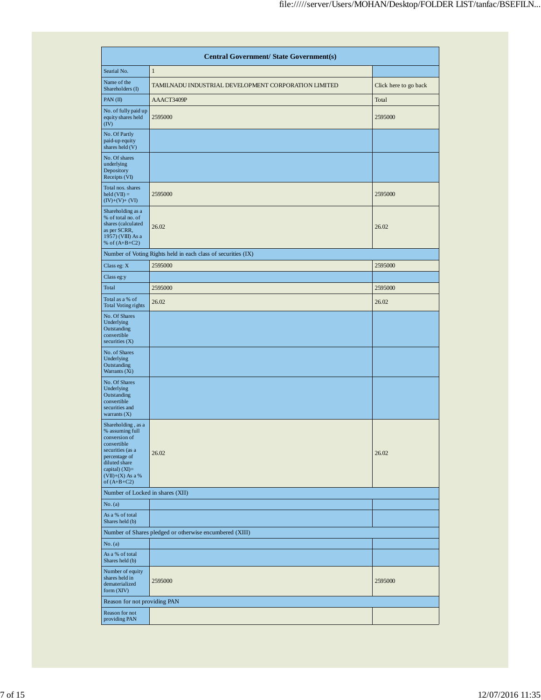| <b>Central Government/ State Government(s)</b>                                                                                                                                          |                                                               |                       |  |  |  |  |  |  |  |
|-----------------------------------------------------------------------------------------------------------------------------------------------------------------------------------------|---------------------------------------------------------------|-----------------------|--|--|--|--|--|--|--|
| Searial No.                                                                                                                                                                             | $\mathbf{1}$                                                  |                       |  |  |  |  |  |  |  |
| Name of the<br>Shareholders (I)                                                                                                                                                         | TAMILNADU INDUSTRIAL DEVELOPMENT CORPORATION LIMITED          | Click here to go back |  |  |  |  |  |  |  |
| PAN(II)                                                                                                                                                                                 | AAACT3409P                                                    | Total                 |  |  |  |  |  |  |  |
| No. of fully paid up<br>equity shares held<br>(IV)                                                                                                                                      | 2595000                                                       | 2595000               |  |  |  |  |  |  |  |
| No. Of Partly<br>paid-up equity<br>shares held (V)                                                                                                                                      |                                                               |                       |  |  |  |  |  |  |  |
| No. Of shares<br>underlying<br>Depository<br>Receipts (VI)                                                                                                                              |                                                               |                       |  |  |  |  |  |  |  |
| Total nos. shares<br>$\text{held}(\text{VII}) =$<br>$(IV)+(V)+(VI)$                                                                                                                     | 2595000                                                       | 2595000               |  |  |  |  |  |  |  |
| Shareholding as a<br>% of total no. of<br>shares (calculated<br>as per SCRR,<br>1957) (VIII) As a<br>% of $(A+B+C2)$                                                                    | 26.02                                                         | 26.02                 |  |  |  |  |  |  |  |
|                                                                                                                                                                                         | Number of Voting Rights held in each class of securities (IX) |                       |  |  |  |  |  |  |  |
| Class eg: X                                                                                                                                                                             | 2595000                                                       | 2595000               |  |  |  |  |  |  |  |
| Class eg:y                                                                                                                                                                              |                                                               |                       |  |  |  |  |  |  |  |
| Total                                                                                                                                                                                   | 2595000                                                       | 2595000               |  |  |  |  |  |  |  |
| Total as a % of<br><b>Total Voting rights</b>                                                                                                                                           | 26.02                                                         | 26.02                 |  |  |  |  |  |  |  |
| No. Of Shares<br>Underlying<br>Outstanding<br>convertible<br>securities $(X)$                                                                                                           |                                                               |                       |  |  |  |  |  |  |  |
| No. of Shares<br>Underlying<br>Outstanding<br>Warrants (Xi)                                                                                                                             |                                                               |                       |  |  |  |  |  |  |  |
| No. Of Shares<br>Underlying<br>Outstanding<br>convertible<br>securities and<br>warrants $(X)$                                                                                           |                                                               |                       |  |  |  |  |  |  |  |
| Shareholding, as a<br>% assuming full<br>conversion of<br>convertible<br>securities (as a<br>percentage of<br>diluted share<br>capital) $(XI) =$<br>$(VII)+(X)$ As a %<br>of $(A+B+C2)$ | 26.02                                                         | 26.02                 |  |  |  |  |  |  |  |
| Number of Locked in shares (XII)                                                                                                                                                        |                                                               |                       |  |  |  |  |  |  |  |
| No. (a)                                                                                                                                                                                 |                                                               |                       |  |  |  |  |  |  |  |
| As a % of total<br>Shares held (b)                                                                                                                                                      |                                                               |                       |  |  |  |  |  |  |  |
|                                                                                                                                                                                         | Number of Shares pledged or otherwise encumbered (XIII)       |                       |  |  |  |  |  |  |  |
| No. (a)                                                                                                                                                                                 |                                                               |                       |  |  |  |  |  |  |  |
| As a % of total<br>Shares held (b)                                                                                                                                                      |                                                               |                       |  |  |  |  |  |  |  |
| Number of equity<br>shares held in<br>dematerialized<br>form (XIV)                                                                                                                      | 2595000                                                       | 2595000               |  |  |  |  |  |  |  |
| Reason for not providing PAN                                                                                                                                                            |                                                               |                       |  |  |  |  |  |  |  |
| Reason for not<br>providing PAN                                                                                                                                                         |                                                               |                       |  |  |  |  |  |  |  |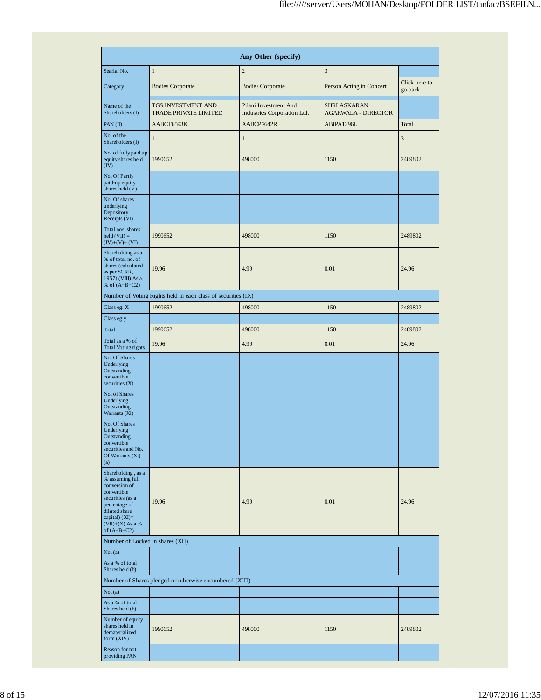|                                                                                                                                                                                      |                                                               | Any Other (specify)                                  |                                            |                          |
|--------------------------------------------------------------------------------------------------------------------------------------------------------------------------------------|---------------------------------------------------------------|------------------------------------------------------|--------------------------------------------|--------------------------|
| Searial No.                                                                                                                                                                          | $\mathbf{1}$                                                  | $\overline{2}$                                       | 3                                          |                          |
| Category                                                                                                                                                                             | <b>Bodies Corporate</b>                                       | <b>Bodies Corporate</b>                              | Person Acting in Concert                   | Click here to<br>go back |
| Name of the<br>Shareholders (I)                                                                                                                                                      | TGS INVESTMENT AND<br><b>TRADE PRIVATE LIMITED</b>            | Pilani Investment And<br>Industries Corporation Ltd. | SHRI ASKARAN<br><b>AGARWALA - DIRECTOR</b> |                          |
| PAN (II)                                                                                                                                                                             | AABCT6593K                                                    | AABCP7642R                                           | ABJPA1296L                                 | Total                    |
| No. of the<br>Shareholders (I)                                                                                                                                                       | $\mathbf{1}$                                                  | $\mathbf{1}$                                         | $\mathbf{1}$                               | 3                        |
| No. of fully paid up<br>equity shares held<br>(IV)                                                                                                                                   | 1990652                                                       | 498000                                               | 1150                                       | 2489802                  |
| No. Of Partly<br>paid-up equity<br>shares held (V)                                                                                                                                   |                                                               |                                                      |                                            |                          |
| No. Of shares<br>underlying<br>Depository<br>Receipts (VI)                                                                                                                           |                                                               |                                                      |                                            |                          |
| Total nos. shares<br>$\text{held}(\text{VII}) =$<br>$(IV)+(V)+(VI)$                                                                                                                  | 1990652                                                       | 498000                                               | 1150                                       | 2489802                  |
| Shareholding as a<br>% of total no. of<br>shares (calculated<br>as per SCRR,<br>1957) (VIII) As a<br>% of $(A+B+C2)$                                                                 | 19.96                                                         | 4.99                                                 | 0.01                                       | 24.96                    |
|                                                                                                                                                                                      | Number of Voting Rights held in each class of securities (IX) |                                                      |                                            |                          |
| Class eg: X                                                                                                                                                                          | 1990652                                                       | 498000                                               | 1150                                       | 2489802                  |
| Class eg:y                                                                                                                                                                           |                                                               |                                                      |                                            |                          |
| Total                                                                                                                                                                                | 1990652                                                       | 498000                                               | 1150                                       | 2489802                  |
| Total as a % of<br><b>Total Voting rights</b>                                                                                                                                        | 19.96                                                         | 4.99                                                 | 0.01                                       | 24.96                    |
| No. Of Shares<br>Underlying<br>Outstanding<br>convertible<br>securities $(X)$                                                                                                        |                                                               |                                                      |                                            |                          |
| No. of Shares<br>Underlying<br>Outstanding<br>Warrants (Xi)                                                                                                                          |                                                               |                                                      |                                            |                          |
| No. Of Shares<br>Underlying<br>Outstanding<br>convertible<br>securities and No.<br>Of Warrants (Xi)<br>(a)                                                                           |                                                               |                                                      |                                            |                          |
| Shareholding, as a<br>% assuming full<br>conversion of<br>convertible<br>securities (as a<br>percentage of<br>diluted share<br>capital) (XI)=<br>$(VII)+(X)$ As a %<br>of $(A+B+C2)$ | 19.96                                                         | 4.99                                                 | 0.01                                       | 24.96                    |
| Number of Locked in shares (XII)                                                                                                                                                     |                                                               |                                                      |                                            |                          |
| No. (a)<br>As a % of total                                                                                                                                                           |                                                               |                                                      |                                            |                          |
| Shares held (b)                                                                                                                                                                      | Number of Shares pledged or otherwise encumbered (XIII)       |                                                      |                                            |                          |
| No. (a)                                                                                                                                                                              |                                                               |                                                      |                                            |                          |
| As a % of total<br>Shares held (b)                                                                                                                                                   |                                                               |                                                      |                                            |                          |
| Number of equity<br>shares held in<br>dematerialized<br>form (XIV)                                                                                                                   | 1990652                                                       | 498000                                               | 1150                                       | 2489802                  |
| Reason for not<br>providing PAN                                                                                                                                                      |                                                               |                                                      |                                            |                          |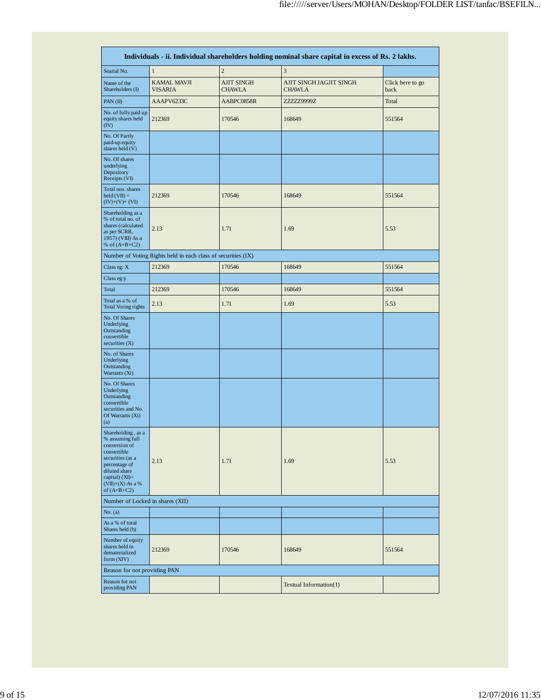|                                                                                                                                                                                         | Individuals - ii. Individual shareholders holding nominal share capital in excess of Rs. 2 lakhs. |                                    |                                          |                          |  |  |  |  |  |  |  |  |
|-----------------------------------------------------------------------------------------------------------------------------------------------------------------------------------------|---------------------------------------------------------------------------------------------------|------------------------------------|------------------------------------------|--------------------------|--|--|--|--|--|--|--|--|
| Searial No.                                                                                                                                                                             | $\mathbf{1}$                                                                                      | $\overline{c}$                     | $\ensuremath{\mathfrak{Z}}$              |                          |  |  |  |  |  |  |  |  |
| Name of the<br>Shareholders (I)                                                                                                                                                         | <b>KAMAL MAVJI</b><br><b>VISARIA</b>                                                              | <b>AJIT SINGH</b><br><b>CHAWLA</b> | AJIT SINGH JAGJIT SINGH<br><b>CHAWLA</b> | Click here to go<br>back |  |  |  |  |  |  |  |  |
| PAN (II)                                                                                                                                                                                | AAAPV6233C                                                                                        | AABPC0858R                         | ZZZZ29999Z                               | Total                    |  |  |  |  |  |  |  |  |
| No. of fully paid up<br>equity shares held<br>(IV)                                                                                                                                      | 212369                                                                                            | 170546                             | 168649                                   | 551564                   |  |  |  |  |  |  |  |  |
| No. Of Partly<br>paid-up equity<br>shares held (V)                                                                                                                                      |                                                                                                   |                                    |                                          |                          |  |  |  |  |  |  |  |  |
| No. Of shares<br>underlying<br>Depository<br>Receipts (VI)                                                                                                                              |                                                                                                   |                                    |                                          |                          |  |  |  |  |  |  |  |  |
| Total nos. shares<br>$\text{held}(\text{VII}) =$<br>$(IV)+(V)+(VI)$                                                                                                                     | 212369                                                                                            | 170546                             | 168649                                   | 551564                   |  |  |  |  |  |  |  |  |
| Shareholding as a<br>% of total no. of<br>shares (calculated<br>as per SCRR,<br>1957) (VIII) As a<br>% of $(A+B+C2)$                                                                    | 2.13                                                                                              | 1.71                               | 1.69                                     | 5.53                     |  |  |  |  |  |  |  |  |
|                                                                                                                                                                                         | Number of Voting Rights held in each class of securities (IX)                                     |                                    |                                          |                          |  |  |  |  |  |  |  |  |
| Class eg: X                                                                                                                                                                             | 212369                                                                                            | 170546                             | 168649                                   | 551564                   |  |  |  |  |  |  |  |  |
| Class eg:y                                                                                                                                                                              |                                                                                                   |                                    |                                          |                          |  |  |  |  |  |  |  |  |
| Total                                                                                                                                                                                   | 212369                                                                                            | 170546                             | 168649                                   | 551564                   |  |  |  |  |  |  |  |  |
| Total as a % of<br><b>Total Voting rights</b>                                                                                                                                           | 2.13                                                                                              | 1.71                               | 1.69                                     | 5.53                     |  |  |  |  |  |  |  |  |
| No. Of Shares<br>Underlying<br>Outstanding<br>convertible<br>securities $(X)$                                                                                                           |                                                                                                   |                                    |                                          |                          |  |  |  |  |  |  |  |  |
| No. of Shares<br>Underlying<br>Outstanding<br>Warrants (Xi)                                                                                                                             |                                                                                                   |                                    |                                          |                          |  |  |  |  |  |  |  |  |
| No. Of Shares<br>Underlying<br>Outstanding<br>convertible<br>securities and No.<br>Of Warrants (Xi)<br>(a)                                                                              |                                                                                                   |                                    |                                          |                          |  |  |  |  |  |  |  |  |
| Shareholding, as a<br>% assuming full<br>conversion of<br>convertible<br>securities (as a<br>percentage of<br>diluted share<br>capital) $(XI) =$<br>$(VII)+(X)$ As a %<br>of $(A+B+C2)$ | 2.13                                                                                              | 1.71                               | 1.69                                     | 5.53                     |  |  |  |  |  |  |  |  |
| Number of Locked in shares (XII)                                                                                                                                                        |                                                                                                   |                                    |                                          |                          |  |  |  |  |  |  |  |  |
| No. (a)                                                                                                                                                                                 |                                                                                                   |                                    |                                          |                          |  |  |  |  |  |  |  |  |
| As a % of total<br>Shares held (b)                                                                                                                                                      |                                                                                                   |                                    |                                          |                          |  |  |  |  |  |  |  |  |
| Number of equity<br>shares held in<br>dematerialized<br>form (XIV)                                                                                                                      | 212369                                                                                            | 170546                             | 168649                                   | 551564                   |  |  |  |  |  |  |  |  |
| Reason for not providing PAN                                                                                                                                                            |                                                                                                   |                                    |                                          |                          |  |  |  |  |  |  |  |  |
| Reason for not<br>providing PAN                                                                                                                                                         |                                                                                                   |                                    | Textual Information(1)                   |                          |  |  |  |  |  |  |  |  |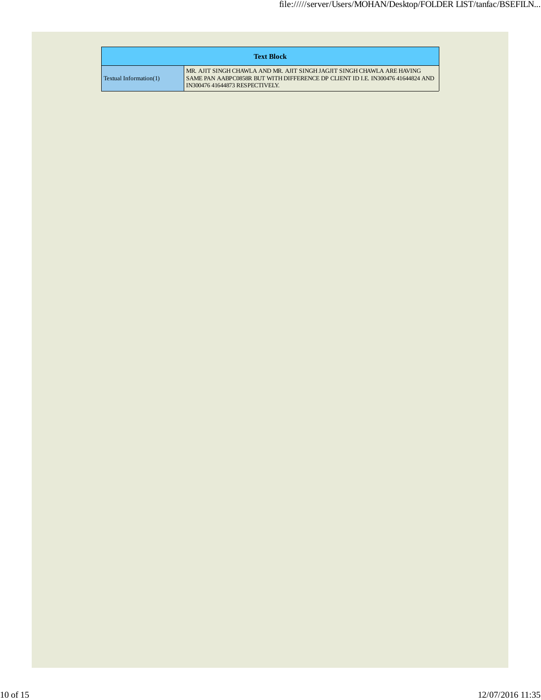|                        | <b>Text Block</b>                                                                                                                                                                                    |
|------------------------|------------------------------------------------------------------------------------------------------------------------------------------------------------------------------------------------------|
| Textual Information(1) | MR. AJIT SINGH CHAWLA AND MR. AJIT SINGH JAGJIT SINGH CHAWLA ARE HAVING<br>SAME PAN AABPC0858R BUT WITH DIFFERENCE DP CLIENT ID I.E. IN300476 41644824 AND<br><b>IN300476 41644873 RESPECTIVELY.</b> |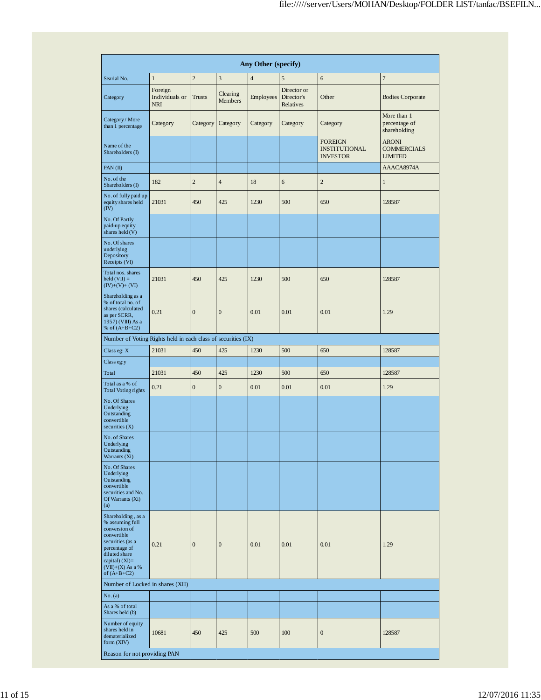|                                                                                                                                                                                         | Any Other (specify)                     |                  |                            |                |                                               |                                                           |                                                      |  |  |  |  |  |  |
|-----------------------------------------------------------------------------------------------------------------------------------------------------------------------------------------|-----------------------------------------|------------------|----------------------------|----------------|-----------------------------------------------|-----------------------------------------------------------|------------------------------------------------------|--|--|--|--|--|--|
| Searial No.                                                                                                                                                                             | $\mathbf{1}$                            | $\overline{2}$   | 3                          | $\overline{4}$ | 5                                             | 6                                                         | $\overline{7}$                                       |  |  |  |  |  |  |
| Category                                                                                                                                                                                | Foreign<br>Individuals or<br><b>NRI</b> | <b>Trusts</b>    | Clearing<br><b>Members</b> | Employees      | Director or<br>Director's<br><b>Relatives</b> | Other                                                     | <b>Bodies Corporate</b>                              |  |  |  |  |  |  |
| Category / More<br>than 1 percentage                                                                                                                                                    | Category                                | Category         | Category                   | Category       | Category                                      | Category                                                  | More than 1<br>percentage of<br>shareholding         |  |  |  |  |  |  |
| Name of the<br>Shareholders (I)                                                                                                                                                         |                                         |                  |                            |                |                                               | <b>FOREIGN</b><br><b>INSTITUTIONAL</b><br><b>INVESTOR</b> | <b>ARONI</b><br><b>COMMERCIALS</b><br><b>LIMITED</b> |  |  |  |  |  |  |
| PAN(II)                                                                                                                                                                                 |                                         |                  |                            |                |                                               |                                                           | AAACA8974A                                           |  |  |  |  |  |  |
| No. of the<br>Shareholders (I)                                                                                                                                                          | 182                                     | $\overline{2}$   | $\overline{4}$             | 18             | 6                                             | $\overline{c}$                                            | $\,1$                                                |  |  |  |  |  |  |
| No. of fully paid up<br>equity shares held<br>(IV)                                                                                                                                      | 21031                                   | 450              | 425                        | 1230           | 500                                           | 650                                                       | 128587                                               |  |  |  |  |  |  |
| No. Of Partly<br>paid-up equity<br>shares held (V)                                                                                                                                      |                                         |                  |                            |                |                                               |                                                           |                                                      |  |  |  |  |  |  |
| No. Of shares<br>underlying<br>Depository<br>Receipts (VI)                                                                                                                              |                                         |                  |                            |                |                                               |                                                           |                                                      |  |  |  |  |  |  |
| Total nos. shares<br>$\text{held}(\text{VII}) =$<br>$(IV)+(V)+(VI)$                                                                                                                     | 21031                                   | 450              | 425                        | 1230           | 500                                           | 650                                                       | 128587                                               |  |  |  |  |  |  |
| Shareholding as a<br>% of total no. of<br>shares (calculated<br>as per SCRR,<br>1957) (VIII) As a<br>% of $(A+B+C2)$                                                                    | 0.21                                    | $\mathbf{0}$     | $\overline{0}$             | 0.01           | 0.01                                          | 0.01                                                      | 1.29                                                 |  |  |  |  |  |  |
| Number of Voting Rights held in each class of securities (IX)                                                                                                                           |                                         |                  |                            |                |                                               |                                                           |                                                      |  |  |  |  |  |  |
| Class eg: X                                                                                                                                                                             | 21031                                   | 450              | 425                        | 1230           | 500                                           | 650                                                       | 128587                                               |  |  |  |  |  |  |
| Class eg:y                                                                                                                                                                              |                                         |                  |                            |                |                                               |                                                           |                                                      |  |  |  |  |  |  |
| Total                                                                                                                                                                                   | 21031                                   | 450              | 425                        | 1230           | 500                                           | 650                                                       | 128587                                               |  |  |  |  |  |  |
| Total as a % of<br><b>Total Voting rights</b>                                                                                                                                           | 0.21                                    | $\boldsymbol{0}$ | $\boldsymbol{0}$           | 0.01           | 0.01                                          | 0.01                                                      | 1.29                                                 |  |  |  |  |  |  |
| No. Of Shares<br>Underlying<br>Outstanding<br>convertible<br>securities $(X)$                                                                                                           |                                         |                  |                            |                |                                               |                                                           |                                                      |  |  |  |  |  |  |
| No. of Shares<br>Underlying<br>Outstanding<br>Warrants (Xi)                                                                                                                             |                                         |                  |                            |                |                                               |                                                           |                                                      |  |  |  |  |  |  |
| No. Of Shares<br>Underlying<br>Outstanding<br>convertible<br>securities and No.<br>Of Warrants (Xi)<br>(a)                                                                              |                                         |                  |                            |                |                                               |                                                           |                                                      |  |  |  |  |  |  |
| Shareholding, as a<br>% assuming full<br>conversion of<br>convertible<br>securities (as a<br>percentage of<br>diluted share<br>capital) $(XI)$ =<br>$(VII)+(X)$ As a %<br>of $(A+B+C2)$ | 0.21                                    | $\mathbf{0}$     | $\boldsymbol{0}$           | 0.01           | 0.01                                          | 0.01                                                      | 1.29                                                 |  |  |  |  |  |  |
| Number of Locked in shares (XII)                                                                                                                                                        |                                         |                  |                            |                |                                               |                                                           |                                                      |  |  |  |  |  |  |
| No. (a)                                                                                                                                                                                 |                                         |                  |                            |                |                                               |                                                           |                                                      |  |  |  |  |  |  |
| As a % of total<br>Shares held (b)                                                                                                                                                      |                                         |                  |                            |                |                                               |                                                           |                                                      |  |  |  |  |  |  |
| Number of equity<br>shares held in<br>dematerialized<br>form (XIV)                                                                                                                      | 10681                                   | 450              | 425                        | 500            | 100                                           | $\boldsymbol{0}$                                          | 128587                                               |  |  |  |  |  |  |
| Reason for not providing PAN                                                                                                                                                            |                                         |                  |                            |                |                                               |                                                           |                                                      |  |  |  |  |  |  |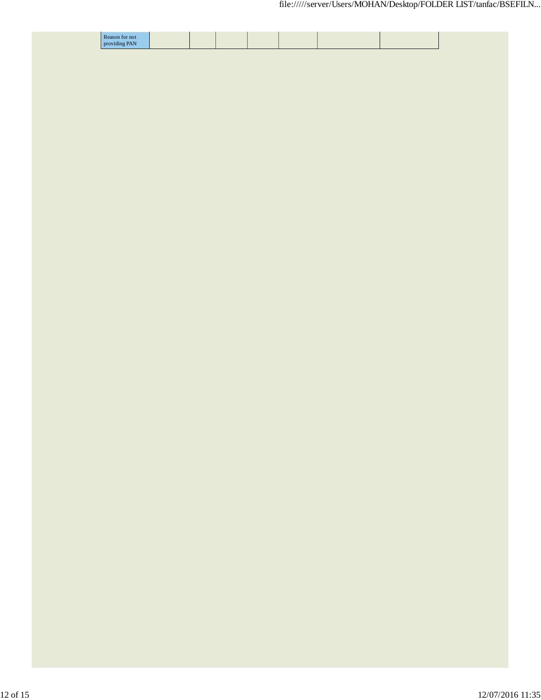| Reason for not<br>providing PAN |  |  |  |  |
|---------------------------------|--|--|--|--|
|                                 |  |  |  |  |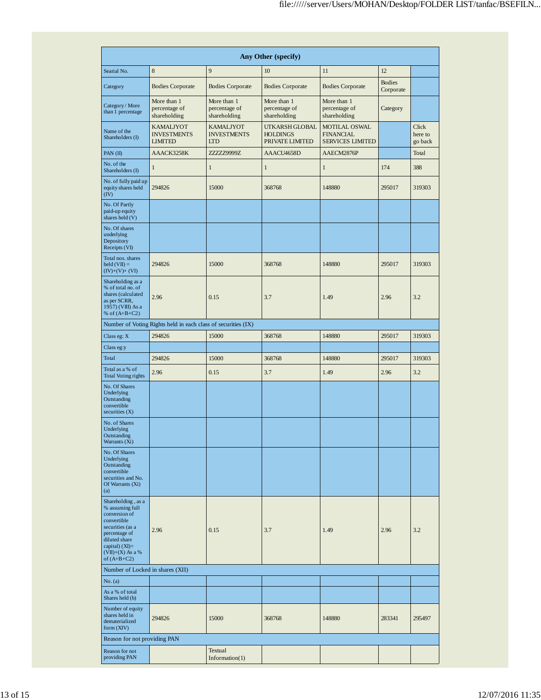| Any Other (specify)                                                                                                                                                                     |                                                          |                                                      |                                                      |                                                              |                            |                             |  |
|-----------------------------------------------------------------------------------------------------------------------------------------------------------------------------------------|----------------------------------------------------------|------------------------------------------------------|------------------------------------------------------|--------------------------------------------------------------|----------------------------|-----------------------------|--|
| Searial No.                                                                                                                                                                             | 8                                                        | 9                                                    | 10                                                   | 11                                                           | 12                         |                             |  |
| Category                                                                                                                                                                                | <b>Bodies Corporate</b>                                  | <b>Bodies Corporate</b>                              | <b>Bodies Corporate</b>                              | <b>Bodies Corporate</b>                                      | <b>Bodies</b><br>Corporate |                             |  |
| Category / More<br>than 1 percentage                                                                                                                                                    | More than 1<br>percentage of<br>shareholding             | More than 1<br>percentage of<br>shareholding         | More than 1<br>percentage of<br>shareholding         | More than 1<br>percentage of<br>shareholding                 | Category                   |                             |  |
| Name of the<br>Shareholders (I)                                                                                                                                                         | <b>KAMALJYOT</b><br><b>INVESTMENTS</b><br><b>LIMITED</b> | <b>KAMALJYOT</b><br><b>INVESTMENTS</b><br><b>LTD</b> | UTKARSH GLOBAL<br><b>HOLDINGS</b><br>PRIVATE LIMITED | MOTILAL OSWAL<br><b>FINANCIAL</b><br><b>SERVICES LIMITED</b> |                            | Click<br>here to<br>go back |  |
| PAN(II)                                                                                                                                                                                 | AAACK3258K                                               | ZZZZZ9999Z                                           | AAACU4658D                                           | AAECM2876P                                                   |                            | Total                       |  |
| No. of the<br>Shareholders (I)                                                                                                                                                          | $\mathbf{1}$                                             | $\mathbf{1}$                                         | $\mathbf{1}$                                         | $\mathbf{1}$                                                 | 174                        | 388                         |  |
| No. of fully paid up<br>equity shares held<br>(IV)                                                                                                                                      | 294826                                                   | 15000                                                | 368768                                               | 148880                                                       | 295017                     | 319303                      |  |
| No. Of Partly<br>paid-up equity<br>shares held (V)                                                                                                                                      |                                                          |                                                      |                                                      |                                                              |                            |                             |  |
| No. Of shares<br>underlying<br>Depository<br>Receipts (VI)                                                                                                                              |                                                          |                                                      |                                                      |                                                              |                            |                             |  |
| Total nos. shares<br>held $(VII) =$<br>$(IV)+(V)+(VI)$                                                                                                                                  | 294826                                                   | 15000                                                | 368768                                               | 148880                                                       | 295017                     | 319303                      |  |
| Shareholding as a<br>% of total no. of<br>shares (calculated<br>as per SCRR,<br>1957) (VIII) As a<br>% of $(A+B+C2)$                                                                    | 2.96                                                     | 0.15                                                 | 3.7                                                  | 1.49                                                         | 2.96                       | 3.2                         |  |
| Number of Voting Rights held in each class of securities (IX)                                                                                                                           |                                                          |                                                      |                                                      |                                                              |                            |                             |  |
| Class eg: X                                                                                                                                                                             | 294826                                                   | 15000                                                | 368768                                               | 148880                                                       | 295017                     | 319303                      |  |
| Class eg:y                                                                                                                                                                              |                                                          |                                                      |                                                      |                                                              |                            |                             |  |
| Total                                                                                                                                                                                   | 294826                                                   | 15000                                                | 368768                                               | 148880                                                       | 295017                     | 319303                      |  |
| Total as a % of<br><b>Total Voting rights</b>                                                                                                                                           | 2.96                                                     | 0.15                                                 | 3.7                                                  | 1.49                                                         | 2.96                       | 3.2                         |  |
| No. Of Shares<br>Underlying<br>Outstanding<br>convertible<br>securities $(X)$                                                                                                           |                                                          |                                                      |                                                      |                                                              |                            |                             |  |
| No. of Shares<br>Underlying<br>Outstanding<br>Warrants (Xi)                                                                                                                             |                                                          |                                                      |                                                      |                                                              |                            |                             |  |
| No. Of Shares<br>Underlying<br>Outstanding<br>convertible<br>securities and No.<br>Of Warrants (Xi)<br>(a)                                                                              |                                                          |                                                      |                                                      |                                                              |                            |                             |  |
| Shareholding, as a<br>% assuming full<br>conversion of<br>convertible<br>securities (as a<br>percentage of<br>diluted share<br>capital) $(XI) =$<br>$(VII)+(X)$ As a %<br>of $(A+B+C2)$ | 2.96                                                     | 0.15                                                 | 3.7                                                  | 1.49                                                         | 2.96                       | 3.2                         |  |
| Number of Locked in shares (XII)                                                                                                                                                        |                                                          |                                                      |                                                      |                                                              |                            |                             |  |
| No. (a)                                                                                                                                                                                 |                                                          |                                                      |                                                      |                                                              |                            |                             |  |
| As a % of total<br>Shares held (b)                                                                                                                                                      |                                                          |                                                      |                                                      |                                                              |                            |                             |  |
| Number of equity<br>shares held in<br>dematerialized<br>form (XIV)                                                                                                                      | 294826                                                   | 15000                                                | 368768                                               | 148880                                                       | 283341                     | 295497                      |  |
| Reason for not providing PAN                                                                                                                                                            |                                                          |                                                      |                                                      |                                                              |                            |                             |  |
| Reason for not<br>providing PAN                                                                                                                                                         |                                                          | Textual<br>Information(1)                            |                                                      |                                                              |                            |                             |  |